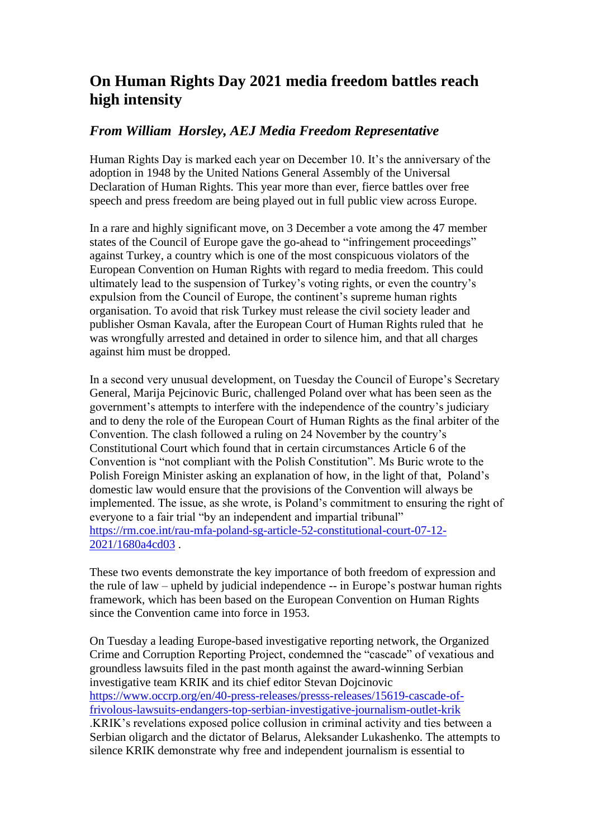## **On Human Rights Day 2021 media freedom battles reach high intensity**

## *From William Horsley, AEJ Media Freedom Representative*

Human Rights Day is marked each year on December 10. It's the anniversary of the adoption in 1948 by the United Nations General Assembly of the Universal Declaration of Human Rights. This year more than ever, fierce battles over free speech and press freedom are being played out in full public view across Europe.

In a rare and highly significant move, on 3 December a vote among the 47 member states of the Council of Europe gave the go-ahead to "infringement proceedings" against Turkey, a country which is one of the most conspicuous violators of the European Convention on Human Rights with regard to media freedom. This could ultimately lead to the suspension of Turkey's voting rights, or even the country's expulsion from the Council of Europe, the continent's supreme human rights organisation. To avoid that risk Turkey must release the civil society leader and publisher Osman Kavala, after the European Court of Human Rights ruled that he was wrongfully arrested and detained in order to silence him, and that all charges against him must be dropped.

In a second very unusual development, on Tuesday the Council of Europe's Secretary General, Marija Pejcinovic Buric, challenged Poland over what has been seen as the government's attempts to interfere with the independence of the country's judiciary and to deny the role of the European Court of Human Rights as the final arbiter of the Convention. The clash followed a ruling on 24 November by the country's Constitutional Court which found that in certain circumstances Article 6 of the Convention is "not compliant with the Polish Constitution". Ms Buric wrote to the Polish Foreign Minister asking an explanation of how, in the light of that, Poland's domestic law would ensure that the provisions of the Convention will always be implemented. The issue, as she wrote, is Poland's commitment to ensuring the right of everyone to a fair trial "by an independent and impartial tribunal" [https://rm.coe.int/rau-mfa-poland-sg-article-52-constitutional-court-07-12-](https://rm.coe.int/rau-mfa-poland-sg-article-52-constitutional-court-07-12-2021/1680a4cd03) [2021/1680a4cd03](https://rm.coe.int/rau-mfa-poland-sg-article-52-constitutional-court-07-12-2021/1680a4cd03) .

These two events demonstrate the key importance of both freedom of expression and the rule of law – upheld by judicial independence -- in Europe's postwar human rights framework, which has been based on the European Convention on Human Rights since the Convention came into force in 1953.

On Tuesday a leading Europe-based investigative reporting network, the Organized Crime and Corruption Reporting Project, condemned the "cascade" of vexatious and groundless lawsuits filed in the past month against the award-winning Serbian investigative team KRIK and its chief editor Stevan Dojcinovic [https://www.occrp.org/en/40-press-releases/presss-releases/15619-cascade-of](https://www.occrp.org/en/40-press-releases/presss-releases/15619-cascade-of-frivolous-lawsuits-endangers-top-serbian-investigative-journalism-outlet-krik)[frivolous-lawsuits-endangers-top-serbian-investigative-journalism-outlet-krik](https://www.occrp.org/en/40-press-releases/presss-releases/15619-cascade-of-frivolous-lawsuits-endangers-top-serbian-investigative-journalism-outlet-krik) .KRIK's revelations exposed police collusion in criminal activity and ties between a Serbian oligarch and the dictator of Belarus, Aleksander Lukashenko. The attempts to silence KRIK demonstrate why free and independent journalism is essential to